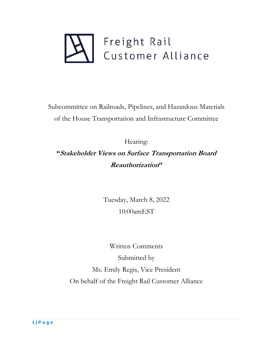

Subcommittee on Railroads, Pipelines, and Hazardous Materials of the House Transportation and Infrastructure Committee

Hearing: **"Stakeholder Views on Surface Transportation Board Reauthorization"**

> Tuesday, March 8, 2022 10:00amEST

Written Comments Submitted by Ms. Emily Regis, Vice President On behalf of the Freight Rail Customer Alliance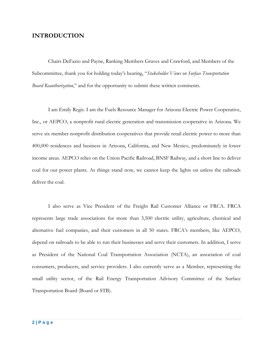# **INTRODUCTION**

Chairs DeFazio and Payne, Ranking Members Graves and Crawford, and Members of the Subcommittee, thank you for holding today's hearing, "*Stakeholder Views on Surface Transportation Board Reauthorization*," and for the opportunity to submit these written comments.

I am Emily Regis. I am the Fuels Resource Manager for Arizona Electric Power Cooperative, Inc., or AEPCO, a nonprofit rural electric generation and transmission cooperative in Arizona. We serve six member nonprofit distribution cooperatives that provide retail electric power to more than 400,000 residences and business in Arizona, California, and New Mexico, predominately in lower income areas. AEPCO relies on the Union Pacific Railroad, BNSF Railway, and a short line to deliver coal for our power plants. As things stand now, we cannot keep the lights on unless the railroads deliver the coal.

I also serve as Vice President of the Freight Rail Customer Alliance or FRCA. FRCA represents large trade associations for more than 3,500 electric utility, agriculture, chemical and alternative fuel companies, and their customers in all 50 states. FRCA's members, like AEPCO, depend on railroads to be able to run their businesses and serve their customers. In addition, I serve as President of the National Coal Transportation Association (NCTA), an association of coal consumers, producers, and service providers. I also currently serve as a Member, representing the small utility sector, of the Rail Energy Transportation Advisory Committee of the Surface Transportation Board (Board or STB).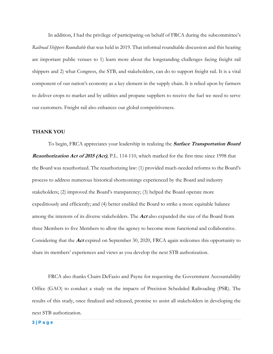In addition, I had the privilege of participating on behalf of FRCA during the subcommittee's *Railroad Shippers Roundtable* that was held in 2019. That informal roundtable discussion and this hearing are important public venues to 1) learn more about the longstanding challenges facing freight rail shippers and 2) what Congress, the STB, and stakeholders, can do to support freight rail. It is a vital component of our nation's economy as a key element in the supply chain. It is relied upon by farmers to deliver crops to market and by utilities and propane suppliers to receive the fuel we need to serve our customers. Freight rail also enhances our global competitiveness.

## **THANK YOU**

To begin, FRCA appreciates your leadership in realizing the **Surface Transportation Board Reauthorization Act of 2015 (Act)**, P.L. 114-110, which marked for the first time since 1998 that the Board was reauthorized. The reauthorizing law: (1) provided much-needed reforms to the Board's process to address numerous historical shortcomings experienced by the Board and industry stakeholders; (2) improved the Board's transparency; (3) helped the Board operate more expeditiously and efficiently; and (4) better enabled the Board to strike a more equitable balance among the interests of its diverse stakeholders. The **Act** also expanded the size of the Board from three Members to five Members to allow the agency to become more functional and collaborative. Considering that the **Act** expired on September 30, 2020, FRCA again welcomes this opportunity to share its members' experiences and views as you develop the next STB authorization.

FRCA also thanks Chairs DeFazio and Payne for requesting the Government Accountability Office (GAO) to conduct a study on the impacts of Precision Scheduled Railroading (PSR). The results of this study, once finalized and released, promise to assist all stakeholders in developing the next STB authorization.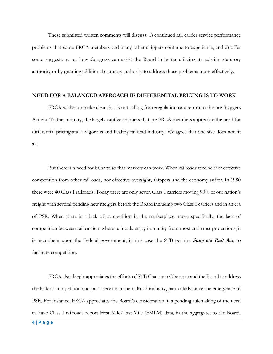These submitted written comments will discuss: 1) continued rail carrier service performance problems that some FRCA members and many other shippers continue to experience, and 2) offer some suggestions on how Congress can assist the Board in better utilizing its existing statutory authority or by granting additional statutory authority to address those problems more effectively.

### **NEED FOR A BALANCED APPROACH IF DIFFERENTIAL PRICING IS TO WORK**

FRCA wishes to make clear that is not calling for reregulation or a return to the pre-Staggers Act era. To the contrary, the largely captive shippers that are FRCA members appreciate the need for differential pricing and a vigorous and healthy railroad industry. We agree that one size does not fit all.

But there is a need for balance so that markets can work. When railroads face neither effective competition from other railroads, nor effective oversight, shippers and the economy suffer. In 1980 there were 40 Class I railroads. Today there are only seven Class I carriers moving 90% of our nation's freight with several pending new mergers before the Board including two Class I carriers and in an era of PSR. When there is a lack of competition in the marketplace, more specifically, the lack of competition between rail carriers where railroads enjoy immunity from most anti-trust protections, it is incumbent upon the Federal government, in this case the STB per the **Staggers Rail Act**, to facilitate competition.

FRCA also deeply appreciates the efforts of STB Chairman Oberman and the Board to address the lack of competition and poor service in the railroad industry, particularly since the emergence of PSR. For instance, FRCA appreciates the Board's consideration in a pending rulemaking of the need to have Class I railroads report First-Mile/Last-Mile (FMLM) data, in the aggregate, to the Board.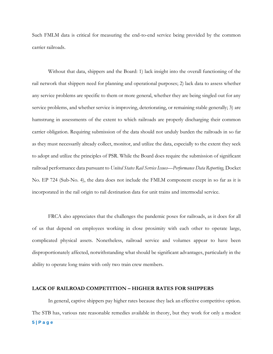Such FMLM data is critical for measuring the end-to-end service being provided by the common carrier railroads.

Without that data, shippers and the Board: 1) lack insight into the overall functioning of the rail network that shippers need for planning and operational purposes; 2) lack data to assess whether any service problems are specific to them or more general, whether they are being singled out for any service problems, and whether service is improving, deteriorating, or remaining stable generally; 3) are hamstrung in assessments of the extent to which railroads are properly discharging their common carrier obligation. Requiring submission of the data should not unduly burden the railroads in so far as they must necessarily already collect, monitor, and utilize the data, especially to the extent they seek to adopt and utilize the principles of PSR. While the Board does require the submission of significant railroad performance data pursuant to *United States Rail Service Issues—Performance Data Reporting,* Docket No. EP 724 (Sub-No. 4), the data does not include the FMLM component except in so far as it is incorporated in the rail origin to rail destination data for unit trains and intermodal service.

FRCA also appreciates that the challenges the pandemic poses for railroads, as it does for all of us that depend on employees working in close proximity with each other to operate large, complicated physical assets. Nonetheless, railroad service and volumes appear to have been disproportionately affected, notwithstanding what should be significant advantages, particularly in the ability to operate long trains with only two train crew members.

## **LACK OF RAILROAD COMPETITION – HIGHER RATES FOR SHIPPERS**

In general, captive shippers pay higher rates because they lack an effective competitive option. The STB has, various rate reasonable remedies available in theory, but they work for only a modest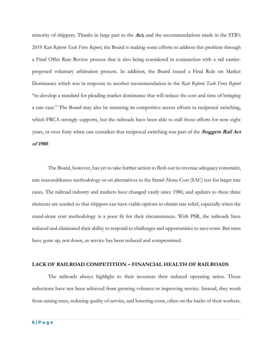minority of shippers. Thanks in large part to the **Act,** and the recommendations made in the STB's 2019 *Rate Reform Task Force Report*, the Board is making some efforts to address this problem through a Final Offer Rate Review process that is also being considered in conjunction with a rail carrierproposed voluntary arbitration process. In addition, the Board issued a Final Rule on Market Dominance which was in response to another recommendation in the *Rate Reform Task Force Report* "to develop a standard for pleading market dominance that will reduce the cost and time of bringing a rate case." The Board may also be renewing its competitive access efforts in reciprocal switching, which FRCA strongly supports, but the railroads have been able to stall those efforts for now eight years, or over forty when one considers that reciprocal switching was part of the **Staggers Rail Act of 1980**.

The Board, however, has yet to take further action to flesh out its revenue adequacy constraint, rate reasonableness methodology or on alternatives to the Stand-Alone Cost (SAC) test for larger rate cases. The railroad industry and markets have changed vastly since 1980, and updates to these three elements are needed so that shippers can have viable options to obtain rate relief, especially when the stand-alone cost methodology is a poor fit for their circumstances. With PSR, the railroads have reduced and eliminated their ability to respond to challenges and opportunities to save costs. But rates have gone up, not down, as service has been reduced and compromised.

#### **LACK OF RAILROAD COMPETITION – FINANCIAL HEALTH OF RAILROADS**

The railroads always highlight to their investors their reduced operating ratios. Those reductions have not been achieved from growing volumes or improving service. Instead, they result from raising rates, reducing quality of service, and lowering costs, often on the backs of their workers.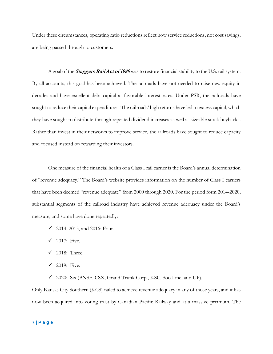Under these circumstances, operating ratio reductions reflect how service reductions, not cost savings, are being passed through to customers.

A goal of the **Staggers Rail Act of 1980** was to restore financial stability to the U.S. rail system. By all accounts, this goal has been achieved. The railroads have not needed to raise new equity in decades and have excellent debt capital at favorable interest rates. Under PSR, the railroads have sought to reduce their capital expenditures. The railroads' high returns have led to excess capital, which they have sought to distribute through repeated dividend increases as well as sizeable stock buybacks. Rather than invest in their networks to improve service, the railroads have sought to reduce capacity and focused instead on rewarding their investors.

One measure of the financial health of a Class I rail carrier is the Board's annual determination of "revenue adequacy." The Board's website provides information on the number of Class I carriers that have been deemed "revenue adequate" from 2000 through 2020. For the period form 2014-2020, substantial segments of the railroad industry have achieved revenue adequacy under the Board's measure, and some have done repeatedly:

- $\checkmark$  2014, 2015, and 2016: Four.
- $\checkmark$  2017: Five.
- $\checkmark$  2018: Three.
- $\checkmark$  2019: Five.
- ✓ 2020: Six (BNSF, CSX, Grand Trunk Corp., KSC, Soo Line, and UP).

Only Kansas City Southern (KCS) failed to achieve revenue adequacy in any of those years, and it has now been acquired into voting trust by Canadian Pacific Railway and at a massive premium. The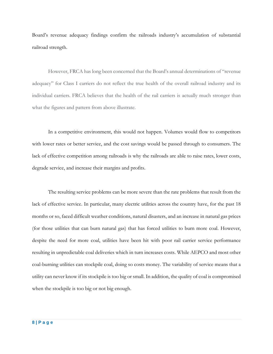Board's revenue adequacy findings confirm the railroads industry's accumulation of substantial railroad strength.

However, FRCA has long been concerned that the Board's annual determinations of "revenue adequacy" for Class I carriers do not reflect the true health of the overall railroad industry and its individual carriers. FRCA believes that the health of the rail carriers is actually much stronger than what the figures and pattern from above illustrate.

In a competitive environment, this would not happen. Volumes would flow to competitors with lower rates or better service, and the cost savings would be passed through to consumers. The lack of effective competition among railroads is why the railroads are able to raise rates, lower costs, degrade service, and increase their margins and profits.

The resulting service problems can be more severe than the rate problems that result from the lack of effective service. In particular, many electric utilities across the country have, for the past 18 months or so, faced difficult weather conditions, natural disasters, and an increase in natural gas prices (for those utilities that can burn natural gas) that has forced utilities to burn more coal. However, despite the need for more coal, utilities have been hit with poor rail carrier service performance resulting in unpredictable coal deliveries which in turn increases costs. While AEPCO and most other coal-burning utilities can stockpile coal, doing so costs money. The variability of service means that a utility can never know if its stockpile is too big or small. In addition, the quality of coal is compromised when the stockpile is too big or not big enough.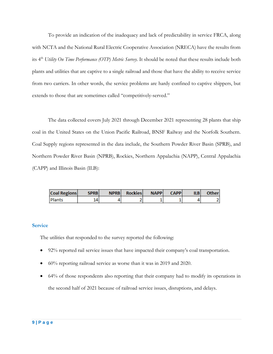To provide an indication of the inadequacy and lack of predictability in service FRCA, along with NCTA and the National Rural Electric Cooperative Association (NRECA) have the results from its 4 th *Utility On Time Performance (OTP) Metric Survey.* It should be noted that these results include both plants and utilities that are captive to a single railroad and those that have the ability to receive service from two carriers. In other words, the service problems are hardy confined to captive shippers, but extends to those that are sometimes called "competitively-served."

The data collected covers July 2021 through December 2021 representing 28 plants that ship coal in the United States on the Union Pacific Railroad, BNSF Railway and the Norfolk Southern. Coal Supply regions represented in the data include, the Southern Powder River Basin (SPRB), and Northern Powder River Basin (NPRB), Rockies, Northern Appalachia (NAPP), Central Appalachia (CAPP) and Illinois Basin (ILB):

| <b>Coal Regions</b> | <b>SPRB</b> | NPRB Rockies | <b>NAPP</b> | <b>CAPP</b> | <b>ILBI</b> | Otherl |
|---------------------|-------------|--------------|-------------|-------------|-------------|--------|
| Plants              | 14          |              |             |             |             |        |

## **Service**

The utilities that responded to the survey reported the following:

- 92% reported rail service issues that have impacted their company's coal transportation.
- 60% reporting railroad service as worse than it was in 2019 and 2020.
- 64% of those respondents also reporting that their company had to modify its operations in the second half of 2021 because of railroad service issues, disruptions, and delays.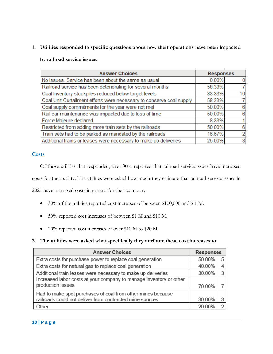**1. Utilities responded to specific questions about how their operations have been impacted** 

**by railroad service issues:**

| <b>Answer Choices</b>                                                | <b>Responses</b> |                |
|----------------------------------------------------------------------|------------------|----------------|
| No issues. Service has been about the same as usual                  | 0.00%            |                |
| Railroad service has been deteriorating for several months           | 58.33%           |                |
| Coal Inventory stockpiles reduced below target levels                | 83.33%           | 10             |
| Coal Unit Curtailment efforts were necessary to conserve coal supply | 58.33%           |                |
| Coal supply commitments for the year were not met                    | 50.00%           | 6              |
| Rail car maintenance was impacted due to loss of time                | 50.00%           | в              |
| Force Majeure declared                                               | 8.33%            |                |
| Restricted from adding more train sets by the railroads              | 50.00%           | 6              |
| Train sets had to be parked as mandated by the railroads             | 16.67%           |                |
| Additional trains or leases were necessary to make up deliveries     | 25.00%           | 3 <sub>l</sub> |
|                                                                      |                  |                |

# **Costs**

Of those utilities that responded, over 90% reported that railroad service issues have increased costs for their utility. The utilities were asked how much they estimate that railroad service issues in

2021 have increased costs in general for their company.

- 30% of the utilities reported cost increases of between \$100,000 and \$ 1 M.
- 50% reported cost increases of between \$1 M and \$10 M.
- 20% reported cost increases of over \$10 M to \$20 M.
- **2. The utilities were asked what specifically they attribute these cost increases to:**

| <b>Answer Choices</b>                                              | <b>Responses</b> |   |  |
|--------------------------------------------------------------------|------------------|---|--|
| Extra costs for purchase power to replace coal generation          | 50.00%           |   |  |
| Extra costs for natural gas to replace coal generation             | 40.00%           |   |  |
| Additional train leases were necessary to make up deliveries       | 30.00%           | 3 |  |
| Increased labor costs at your company to manage inventory or other |                  |   |  |
| production issues                                                  | 70.00%           |   |  |
| Had to make spot purchases of coal from other mines because        |                  |   |  |
| railroads could not deliver from contracted mine sources           | 30.00%           |   |  |
| Other                                                              | 20.00%           |   |  |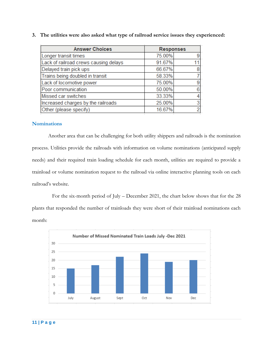| <b>Answer Choices</b>                 | <b>Responses</b> |   |
|---------------------------------------|------------------|---|
| Longer transit times                  | 75.00%           |   |
| Lack of railroad crews causing delays | 91.67%           |   |
| Delayed train pick ups                | 66.67%           |   |
| Trains being doubled in transit       | 58.33%           |   |
| Lack of locomotive power              | 75.00%           |   |
| Poor communication                    | 50.00%           | В |
| Missed car switches                   | 33.33%           |   |
| Increased charges by the railroads    | 25.00%           |   |
| Other (please specify)                | 16.67%           |   |
|                                       |                  |   |

**3. The utilities were also asked what type of railroad service issues they experienced:**

## **Nominations**

Another area that can be challenging for both utility shippers and railroads is the nomination process. Utilities provide the railroads with information on volume nominations (anticipated supply needs) and their required train loading schedule for each month, utilities are required to provide a trainload or volume nomination request to the railroad via online interactive planning tools on each railroad's website.

 For the six-month period of July – December 2021, the chart below shows that for the 28 plants that responded the number of trainloads they were short of their trainload nominations each month:

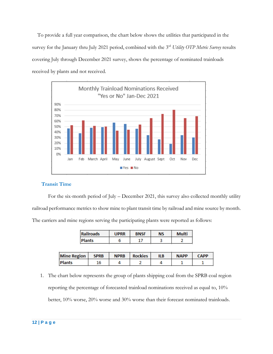To provide a full year comparison, the chart below shows the utilities that participated in the survey for the January thru July 2021 period, combined with the 3rd *Utility OTP Metric Survey* results covering July through December 2021 survey, shows the percentage of nominated trainloads received by plants and not received.



## **Transit Time**

For the six-month period of July – December 2021, this survey also collected monthly utility railroad performance metrics to show mine to plant transit time by railroad and mine source by month. The carriers and mine regions serving the participating plants were reported as follows:

| Railroads     | <b>UPRR</b> | <b>BNSF</b> | ΝS | <b>Multi</b> |
|---------------|-------------|-------------|----|--------------|
| <b>Plants</b> |             |             |    |              |

| <b>Mine Region</b> | <b>SPRB</b> | <b>NPRB</b> | <b>Rockies</b> | ILB | <b>NAPP</b> | <b>CAPP</b> |
|--------------------|-------------|-------------|----------------|-----|-------------|-------------|
| <b>Plants</b>      |             |             |                |     |             |             |

1. The chart below represents the group of plants shipping coal from the SPRB coal region reporting the percentage of forecasted trainload nominations received as equal to, 10% better, 10% worse, 20% worse and 30% worse than their forecast nominated trainloads.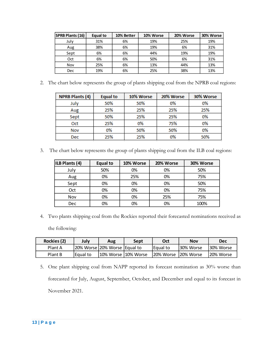| <b>SPRB Plants (16)</b> | Equal to | 10% Better | 10% Worse | 20% Worse | 30% Worse |
|-------------------------|----------|------------|-----------|-----------|-----------|
| July                    | 31%      | 6%         | 19%       | 25%       | 19%       |
| Aug                     | 38%      | 6%         | 19%       | 6%        | 31%       |
| Sept                    | 6%       | 6%         | 44%       | 19%       | 19%       |
| Oct                     | 6%       | 6%         | 50%       | 6%        | 31%       |
| Nov                     | 25%      | 6%         | 13%       | 44%       | 13%       |
| <b>Dec</b>              | 19%      | 6%         | 25%       | 38%       | 13%       |

2. The chart below represents the group of plants shipping coal from the NPRB coal regions:

| <b>NPRB Plants (4)</b> | <b>Equal to</b> | 10% Worse | 20% Worse | 30% Worse |
|------------------------|-----------------|-----------|-----------|-----------|
| July                   | 50%             | 50%       | 0%        | 0%        |
| Aug                    | 25%             | 25%       | 25%       | 25%       |
| Sept                   | 50%             | 25%       | 25%       | 0%        |
| Oct                    | 25%             | 0%        | 75%       | 0%        |
| Nov                    | 0%              | 50%       | 50%       | 0%        |
| Dec                    | 25%             | 25%       | 0%        | 50%       |

3. The chart below represents the group of plants shipping coal from the ILB coal regions:

| ILB Plants (4) | Equal to | 10% Worse | 20% Worse | 30% Worse |
|----------------|----------|-----------|-----------|-----------|
| July           | 50%      | 0%        | 0%        | 50%       |
| Aug            | 0%       | 25%       | 0%        | 75%       |
| Sept           | 0%       | 0%        | 0%        | 50%       |
| Oct            | 0%       | 0%        | 0%        | 75%       |
| <b>Nov</b>     | 0%       | 0%        | 25%       | 75%       |
| Dec            | 0%       | 0%        | 0%        | 100%      |

4. Two plants shipping coal from the Rockies reported their forecasted nominations received as the following:

| Rockies (2) | <b>July</b> | Aug                          | Sept | Oct                  | Nov        | Dec       |
|-------------|-------------|------------------------------|------|----------------------|------------|-----------|
| Plant A     |             | 20% Worse 20% Worse Equal to |      | Equal to             | 130% Worse | 30% Worse |
| Plant B     | Equal to    | 10% Worse 10% Worse          |      | 20% Worse 120% Worse |            | 20% Worse |

5. One plant shipping coal from NAPP reported its forecast nomination as 30% worse than forecasted for July, August, September, October, and December and equal to its forecast in November 2021.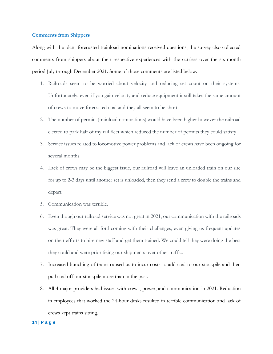### **Comments from Shippers**

Along with the plant forecasted trainload nominations received questions, the survey also collected comments from shippers about their respective experiences with the carriers over the six-month period July through December 2021. Some of those comments are listed below.

- 1. Railroads seem to be worried about velocity and reducing set count on their systems. Unfortunately, even if you gain velocity and reduce equipment it still takes the same amount of crews to move forecasted coal and they all seem to be short
- 2. The number of permits (trainload nominations) would have been higher however the railroad elected to park half of my rail fleet which reduced the number of permits they could satisfy
- 3. Service issues related to locomotive power problems and lack of crews have been ongoing for several months.
- 4. Lack of crews may be the biggest issue, our railroad will leave an unloaded train on our site for up to 2-3 days until another set is unloaded, then they send a crew to double the trains and depart.
- 5. Communication was terrible.
- 6. Even though our railroad service was not great in 2021, our communication with the railroads was great. They were all forthcoming with their challenges, even giving us frequent updates on their efforts to hire new staff and get them trained. We could tell they were doing the best they could and were prioritizing our shipments over other traffic.
- 7. Increased bunching of trains caused us to incur costs to add coal to our stockpile and then pull coal off our stockpile more than in the past.
- 8. All 4 major providers had issues with crews, power, and communication in 2021. Reduction in employees that worked the 24-hour desks resulted in terrible communication and lack of crews kept trains sitting.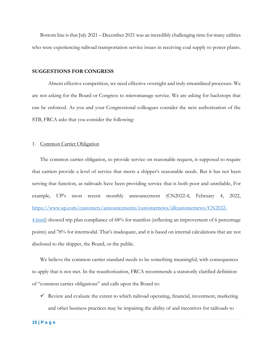Bottom line is that July 2021 – December 2021 was an incredibly challenging time for many utilities who were experiencing railroad transportation service issues in receiving coal supply to power plants.

#### **SUGGESTIONS FOR CONGRESS**

Absent effective competition, we need effective oversight and truly streamlined processes. We are not asking for the Board or Congress to micromanage service. We are asking for backstops that can be enforced. As you and your Congressional colleagues consider the next authorization of the STB, FRCA asks that you consider the following:

### 1. Common Carrier Obligation

The common carrier obligation, to provide service on reasonable request, is supposed to require that carriers provide a level of service that meets a shipper's reasonable needs. But it has not been serving that function, as railroads have been providing service that is both poor and unreliable, For example, UP's most recent monthly announcement (CN2022-4, February 4, 2022, [https://www.up.com/customers/announcements/customernews/allcustomernews/CN2022-](https://www.up.com/customers/announcements/customernews/allcustomernews/CN2022-4.html) [4.html\)](https://www.up.com/customers/announcements/customernews/allcustomernews/CN2022-4.html) showed trip plan compliance of 68% for manifest (reflecting an improvement of 6 percentage points) and 78% for intermodal. That's inadequate, and it is based on internal calculations that are not disclosed to the shipper, the Board, or the public.

We believe the common carrier standard needs to be something meaningful, with consequences to apply that is not met. In the reauthorization, FRCA recommends a statutorily clarified definition of "common carrier obligations" and calls upon the Board to:

 $\checkmark$  Review and evaluate the extent to which railroad operating, financial, investment, marketing and other business practices may be impairing the ability of and incentives for railroads to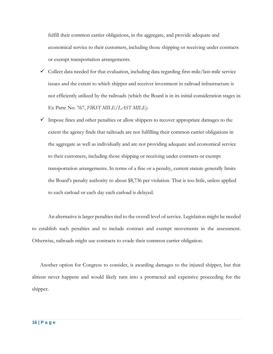fulfill their common carrier obligations, in the aggregate, and provide adequate and economical service to their customers, including those shipping or receiving under contracts or exempt transportation arrangements.

- $\checkmark$  Collect data needed for that evaluation, including data regarding first-mile/last-mile service issues and the extent to which shipper and receiver investment in railroad infrastructure is not efficiently utilized by the railroads (which the Board is in its initial consideration stages in Ex Parte No. 767, *FIRST MILE/LAST MILE)*.
- $\checkmark$  Impose fines and other penalties or allow shippers to recover appropriate damages to the extent the agency finds that railroads are not fulfilling their common carrier obligations in the aggregate as well as individually and are not providing adequate and economical service to their customers, including those shipping or receiving under contracts or exempt transportation arrangements. In terms of a fine or a penalty, current statute generally limits the Board's penalty authority to about \$8,736 per violation. That is too little, unless applied to each carload or each day each carload is delayed.

An alternative is larger penalties tied to the overall level of service. Legislation might be needed to establish such penalties and to include contract and exempt movements in the assessment. Otherwise, railroads might use contracts to evade their common carrier obligation.

Another option for Congress to consider, is awarding damages to the injured shipper, but that almost never happens and would likely turn into a protracted and expensive proceeding for the shipper.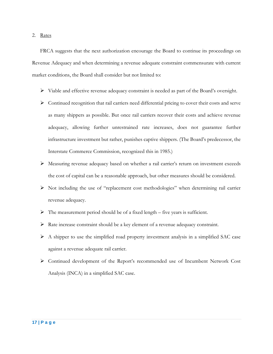#### 2. Rates

FRCA suggests that the next authorization encourage the Board to continue its proceedings on Revenue Adequacy and when determining a revenue adequate constraint commensurate with current market conditions, the Board shall consider but not limited to:

- ➢ Viable and effective revenue adequacy constraint is needed as part of the Board's oversight.
- ➢ Continued recognition that rail carriers need differential pricing to cover their costs and serve as many shippers as possible. But once rail carriers recover their costs and achieve revenue adequacy, allowing further unrestrained rate increases, does not guarantee further infrastructure investment but rather, punishes captive shippers. (The Board's predecessor, the Interstate Commerce Commission, recognized this in 1985.)
- ➢ Measuring revenue adequacy based on whether a rail carrier's return on investment exceeds the cost of capital can be a reasonable approach, but other measures should be considered.
- ➢ Not including the use of "replacement cost methodologies" when determining rail carrier revenue adequacy.
- $\triangleright$  The measurement period should be of a fixed length five years is sufficient.
- ➢ Rate increase constraint should be a key element of a revenue adequacy constraint.
- ➢ A shipper to use the simplified road property investment analysis in a simplified SAC case against a revenue adequate rail carrier.
- ➢ Continued development of the Report's recommended use of Incumbent Network Cost Analysis (INCA) in a simplified SAC case.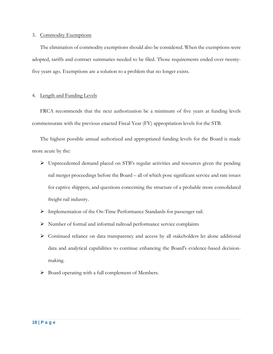### 3. Commodity Exemptions

The elimination of commodity exemptions should also be considered. When the exemptions were adopted, tariffs and contract summaries needed to be filed. Those requirements ended over twentyfive years ago. Exemptions are a solution to a problem that no longer exists.

## 4. Length and Funding Levels

FRCA recommends that the next authorization be a minimum of five years at funding levels commensurate with the previous enacted Fiscal Year (FY) appropriation levels for the STB.

The highest possible annual authorized and appropriated funding levels for the Board is made more acute by the:

- ➢ Unprecedented demand placed on STB's regular activities and resources given the pending rail merger proceedings before the Board – all of which pose significant service and rate issues for captive shippers, and questions concerning the structure of a probable more consolidated freight rail industry.
- ➢ Implementation of the On-Time Performance Standards for passenger rail.
- ➢ Number of formal and informal railroad performance service complaints
- ➢ Continued reliance on data transparency and access by all stakeholders let alone additional data and analytical capabilities to continue enhancing the Board's evidence-based decisionmaking.
- ➢ Board operating with a full complement of Members.